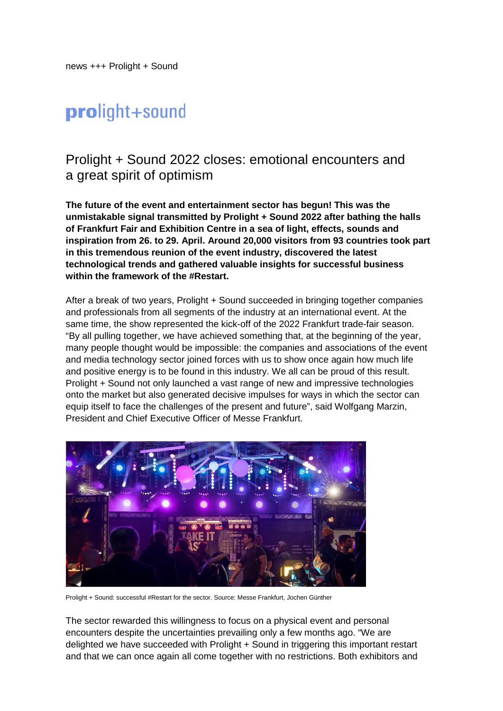news +++ Prolight + Sound

# prolight+sound

## Prolight + Sound 2022 closes: emotional encounters and a great spirit of optimism

**The future of the event and entertainment sector has begun! This was the unmistakable signal transmitted by Prolight + Sound 2022 after bathing the halls of Frankfurt Fair and Exhibition Centre in a sea of light, effects, sounds and inspiration from 26. to 29. April. Around 20,000 visitors from 93 countries took part in this tremendous reunion of the event industry, discovered the latest technological trends and gathered valuable insights for successful business within the framework of the #Restart.** 

After a break of two years, Prolight + Sound succeeded in bringing together companies and professionals from all segments of the industry at an international event. At the same time, the show represented the kick-off of the 2022 Frankfurt trade-fair season. "By all pulling together, we have achieved something that, at the beginning of the year, many people thought would be impossible: the companies and associations of the event and media technology sector joined forces with us to show once again how much life and positive energy is to be found in this industry. We all can be proud of this result. Prolight + Sound not only launched a vast range of new and impressive technologies onto the market but also generated decisive impulses for ways in which the sector can equip itself to face the challenges of the present and future", said Wolfgang Marzin, President and Chief Executive Officer of Messe Frankfurt.



Prolight + Sound: successful #Restart for the sector. Source: Messe Frankfurt, Jochen Günther

The sector rewarded this willingness to focus on a physical event and personal encounters despite the uncertainties prevailing only a few months ago. "We are delighted we have succeeded with Prolight + Sound in triggering this important restart and that we can once again all come together with no restrictions. Both exhibitors and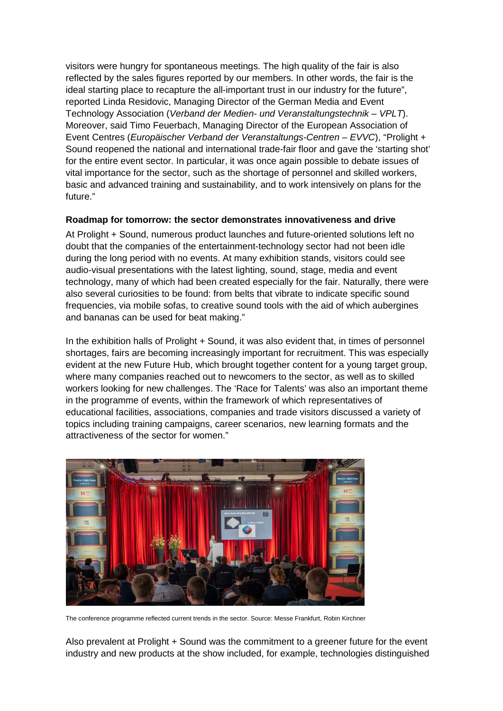visitors were hungry for spontaneous meetings. The high quality of the fair is also reflected by the sales figures reported by our members. In other words, the fair is the ideal starting place to recapture the all-important trust in our industry for the future", reported Linda Residovic, Managing Director of the German Media and Event Technology Association (*Verband der Medien- und Veranstaltungstechnik – VPLT*). Moreover, said Timo Feuerbach, Managing Director of the European Association of Event Centres (*Europäischer Verband der Veranstaltungs-Centren – EVVC*), "Prolight + Sound reopened the national and international trade-fair floor and gave the 'starting shot' for the entire event sector. In particular, it was once again possible to debate issues of vital importance for the sector, such as the shortage of personnel and skilled workers, basic and advanced training and sustainability, and to work intensively on plans for the future."

#### **Roadmap for tomorrow: the sector demonstrates innovativeness and drive**

At Prolight + Sound, numerous product launches and future-oriented solutions left no doubt that the companies of the entertainment-technology sector had not been idle during the long period with no events. At many exhibition stands, visitors could see audio-visual presentations with the latest lighting, sound, stage, media and event technology, many of which had been created especially for the fair. Naturally, there were also several curiosities to be found: from belts that vibrate to indicate specific sound frequencies, via mobile sofas, to creative sound tools with the aid of which aubergines and bananas can be used for beat making."

In the exhibition halls of Prolight + Sound, it was also evident that, in times of personnel shortages, fairs are becoming increasingly important for recruitment. This was especially evident at the new Future Hub, which brought together content for a young target group, where many companies reached out to newcomers to the sector, as well as to skilled workers looking for new challenges. The 'Race for Talents' was also an important theme in the programme of events, within the framework of which representatives of educational facilities, associations, companies and trade visitors discussed a variety of topics including training campaigns, career scenarios, new learning formats and the attractiveness of the sector for women."



The conference programme reflected current trends in the sector. Source: Messe Frankfurt, Robin Kirchner

Also prevalent at Prolight + Sound was the commitment to a greener future for the event industry and new products at the show included, for example, technologies distinguished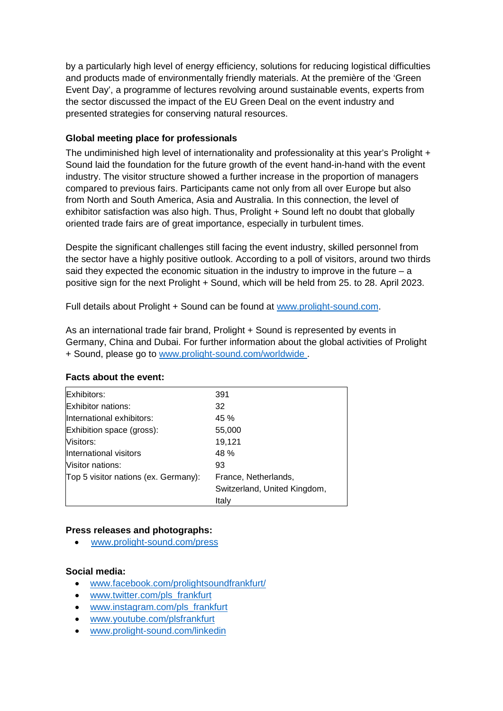by a particularly high level of energy efficiency, solutions for reducing logistical difficulties and products made of environmentally friendly materials. At the première of the 'Green Event Day', a programme of lectures revolving around sustainable events, experts from the sector discussed the impact of the EU Green Deal on the event industry and presented strategies for conserving natural resources.

### **Global meeting place for professionals**

The undiminished high level of internationality and professionality at this year's Prolight + Sound laid the foundation for the future growth of the event hand-in-hand with the event industry. The visitor structure showed a further increase in the proportion of managers compared to previous fairs. Participants came not only from all over Europe but also from North and South America, Asia and Australia. In this connection, the level of exhibitor satisfaction was also high. Thus, Prolight + Sound left no doubt that globally oriented trade fairs are of great importance, especially in turbulent times.

Despite the significant challenges still facing the event industry, skilled personnel from the sector have a highly positive outlook. According to a poll of visitors, around two thirds said they expected the economic situation in the industry to improve in the future  $- a$ positive sign for the next Prolight + Sound, which will be held from 25. to 28. April 2023.

Full details about Prolight + Sound can be found at [www.prolight-sound.com.](http://www.prolight-sound.com/)

As an international trade fair brand, Prolight + Sound is represented by events in Germany, China and Dubai. For further information about the global activities of Prolight + Sound, please go to [www.prolight-sound.com/worldwide](http://www.prolight-sound.com/worldwide) .

| Exhibitors:                          | 391                          |
|--------------------------------------|------------------------------|
| <b>Exhibitor nations:</b>            | 32                           |
| International exhibitors:            | 45 %                         |
| Exhibition space (gross):            | 55,000                       |
| Visitors:                            | 19,121                       |
| International visitors               | 48 %                         |
| <b>Nisitor nations:</b>              | 93                           |
| Top 5 visitor nations (ex. Germany): | France, Netherlands,         |
|                                      | Switzerland, United Kingdom, |
|                                      | Italy                        |

#### **Facts about the event:**

#### **Press releases and photographs:**

[www.prolight-sound.com/press](http://www.prolight-sound.com/presse) 

#### **Social media:**

- [www.facebook.com/prolightsoundfrankfurt/](http://www.facebook.com/prolightsoundfrankfurt/)
- www.twitter.com/pls\_frankfurt
- www.instagram.com/pls\_frankfurt
- [www.youtube.com/plsfrankfurt](http://www.youtube.com/plsfrankfurt)
- [www.prolight-sound.com/linkedin](http://www.prolight-sound.com/linkedin)